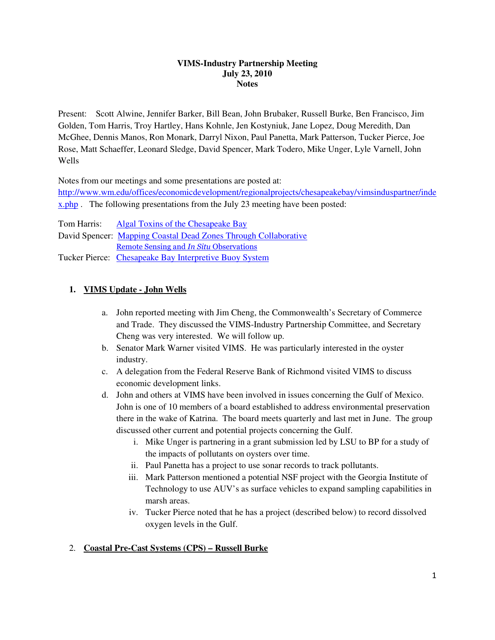#### **VIMS-Industry Partnership Meeting July 23, 2010 Notes**

Present: Scott Alwine, Jennifer Barker, Bill Bean, John Brubaker, Russell Burke, Ben Francisco, Jim Golden, Tom Harris, Troy Hartley, Hans Kohnle, Jen Kostyniuk, Jane Lopez, Doug Meredith, Dan McGhee, Dennis Manos, Ron Monark, Darryl Nixon, Paul Panetta, Mark Patterson, Tucker Pierce, Joe Rose, Matt Schaeffer, Leonard Sledge, David Spencer, Mark Todero, Mike Unger, Lyle Varnell, John Wells

Notes from our meetings and some presentations are posted at:

http://www.wm.edu/offices/economicdevelopment/regionalprojects/chesapeakebay/vimsinduspartner/inde x<sub>.php</sub> The following presentations from the July 23 meeting have been posted:

Tom Harris: Algal Toxins of the Chesapeake Bay David Spencer: Mapping Coastal Dead Zones Through Collaborative Remote Sensing and In Situ Observations Tucker Pierce: Chesapeake Bay Interpretive Buoy System

## **1. VIMS Update - John Wells**

- a. John reported meeting with Jim Cheng, the Commonwealth's Secretary of Commerce and Trade. They discussed the VIMS-Industry Partnership Committee, and Secretary Cheng was very interested. We will follow up.
- b. Senator Mark Warner visited VIMS. He was particularly interested in the oyster industry.
- c. A delegation from the Federal Reserve Bank of Richmond visited VIMS to discuss economic development links.
- d. John and others at VIMS have been involved in issues concerning the Gulf of Mexico. John is one of 10 members of a board established to address environmental preservation there in the wake of Katrina. The board meets quarterly and last met in June. The group discussed other current and potential projects concerning the Gulf.
	- i. Mike Unger is partnering in a grant submission led by LSU to BP for a study of the impacts of pollutants on oysters over time.
	- ii. Paul Panetta has a project to use sonar records to track pollutants.
	- iii. Mark Patterson mentioned a potential NSF project with the Georgia Institute of Technology to use AUV's as surface vehicles to expand sampling capabilities in marsh areas.
	- iv. Tucker Pierce noted that he has a project (described below) to record dissolved oxygen levels in the Gulf.

#### 2. **Coastal Pre-Cast Systems (CPS) – Russell Burke**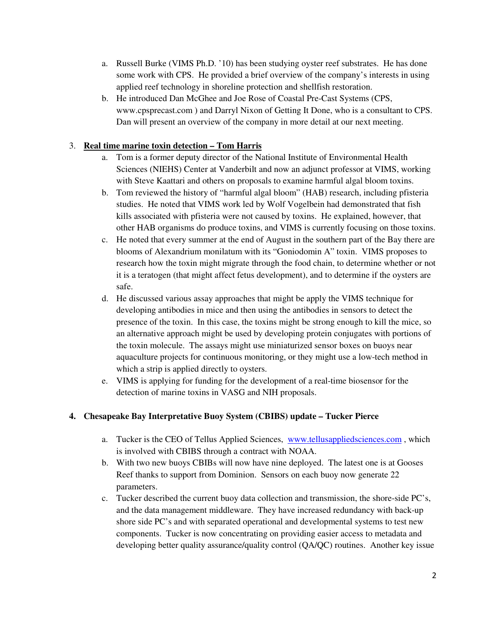- a. Russell Burke (VIMS Ph.D. '10) has been studying oyster reef substrates. He has done some work with CPS. He provided a brief overview of the company's interests in using applied reef technology in shoreline protection and shellfish restoration.
- b. He introduced Dan McGhee and Joe Rose of Coastal Pre-Cast Systems (CPS, www.cpsprecast.com ) and Darryl Nixon of Getting It Done, who is a consultant to CPS. Dan will present an overview of the company in more detail at our next meeting.

### 3. **Real time marine toxin detection – Tom Harris**

- a. Tom is a former deputy director of the National Institute of Environmental Health Sciences (NIEHS) Center at Vanderbilt and now an adjunct professor at VIMS, working with Steve Kaattari and others on proposals to examine harmful algal bloom toxins.
- b. Tom reviewed the history of "harmful algal bloom" (HAB) research, including pfisteria studies. He noted that VIMS work led by Wolf Vogelbein had demonstrated that fish kills associated with pfisteria were not caused by toxins. He explained, however, that other HAB organisms do produce toxins, and VIMS is currently focusing on those toxins.
- c. He noted that every summer at the end of August in the southern part of the Bay there are blooms of Alexandrium monilatum with its "Goniodomin A" toxin. VIMS proposes to research how the toxin might migrate through the food chain, to determine whether or not it is a teratogen (that might affect fetus development), and to determine if the oysters are safe.
- d. He discussed various assay approaches that might be apply the VIMS technique for developing antibodies in mice and then using the antibodies in sensors to detect the presence of the toxin. In this case, the toxins might be strong enough to kill the mice, so an alternative approach might be used by developing protein conjugates with portions of the toxin molecule. The assays might use miniaturized sensor boxes on buoys near aquaculture projects for continuous monitoring, or they might use a low-tech method in which a strip is applied directly to oysters.
- e. VIMS is applying for funding for the development of a real-time biosensor for the detection of marine toxins in VASG and NIH proposals.

## **4. Chesapeake Bay Interpretative Buoy System (CBIBS) update – Tucker Pierce**

- a. Tucker is the CEO of Tellus Applied Sciences, www.tellusappliedsciences.com, which is involved with CBIBS through a contract with NOAA.
- b. With two new buoys CBIBs will now have nine deployed. The latest one is at Gooses Reef thanks to support from Dominion. Sensors on each buoy now generate 22 parameters.
- c. Tucker described the current buoy data collection and transmission, the shore-side PC's, and the data management middleware. They have increased redundancy with back-up shore side PC's and with separated operational and developmental systems to test new components. Tucker is now concentrating on providing easier access to metadata and developing better quality assurance/quality control (QA/QC) routines. Another key issue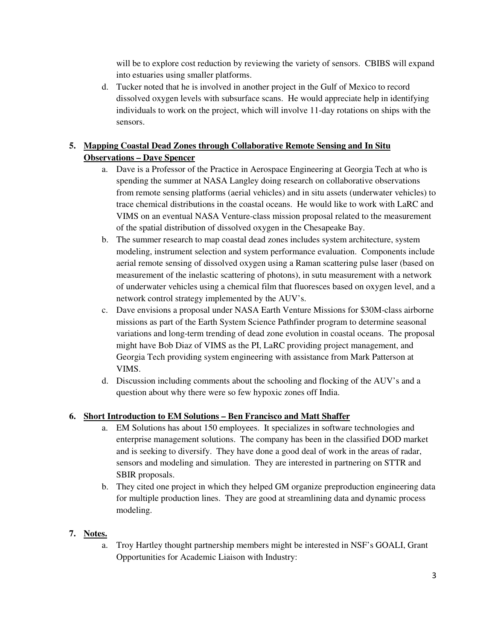will be to explore cost reduction by reviewing the variety of sensors. CBIBS will expand into estuaries using smaller platforms.

d. Tucker noted that he is involved in another project in the Gulf of Mexico to record dissolved oxygen levels with subsurface scans. He would appreciate help in identifying individuals to work on the project, which will involve 11-day rotations on ships with the sensors.

# **5. Mapping Coastal Dead Zones through Collaborative Remote Sensing and In Situ**

## **Observations – Dave Spencer**

- a. Dave is a Professor of the Practice in Aerospace Engineering at Georgia Tech at who is spending the summer at NASA Langley doing research on collaborative observations from remote sensing platforms (aerial vehicles) and in situ assets (underwater vehicles) to trace chemical distributions in the coastal oceans. He would like to work with LaRC and VIMS on an eventual NASA Venture-class mission proposal related to the measurement of the spatial distribution of dissolved oxygen in the Chesapeake Bay.
- b. The summer research to map coastal dead zones includes system architecture, system modeling, instrument selection and system performance evaluation. Components include aerial remote sensing of dissolved oxygen using a Raman scattering pulse laser (based on measurement of the inelastic scattering of photons), in sutu measurement with a network of underwater vehicles using a chemical film that fluoresces based on oxygen level, and a network control strategy implemented by the AUV's.
- c. Dave envisions a proposal under NASA Earth Venture Missions for \$30M-class airborne missions as part of the Earth System Science Pathfinder program to determine seasonal variations and long-term trending of dead zone evolution in coastal oceans. The proposal might have Bob Diaz of VIMS as the PI, LaRC providing project management, and Georgia Tech providing system engineering with assistance from Mark Patterson at VIMS.
- d. Discussion including comments about the schooling and flocking of the AUV's and a question about why there were so few hypoxic zones off India.

#### **6. Short Introduction to EM Solutions – Ben Francisco and Matt Shaffer**

- a. EM Solutions has about 150 employees. It specializes in software technologies and enterprise management solutions. The company has been in the classified DOD market and is seeking to diversify. They have done a good deal of work in the areas of radar, sensors and modeling and simulation. They are interested in partnering on STTR and SBIR proposals.
- b. They cited one project in which they helped GM organize preproduction engineering data for multiple production lines. They are good at streamlining data and dynamic process modeling.

#### **7. Notes.**

a. Troy Hartley thought partnership members might be interested in NSF's GOALI, Grant Opportunities for Academic Liaison with Industry: